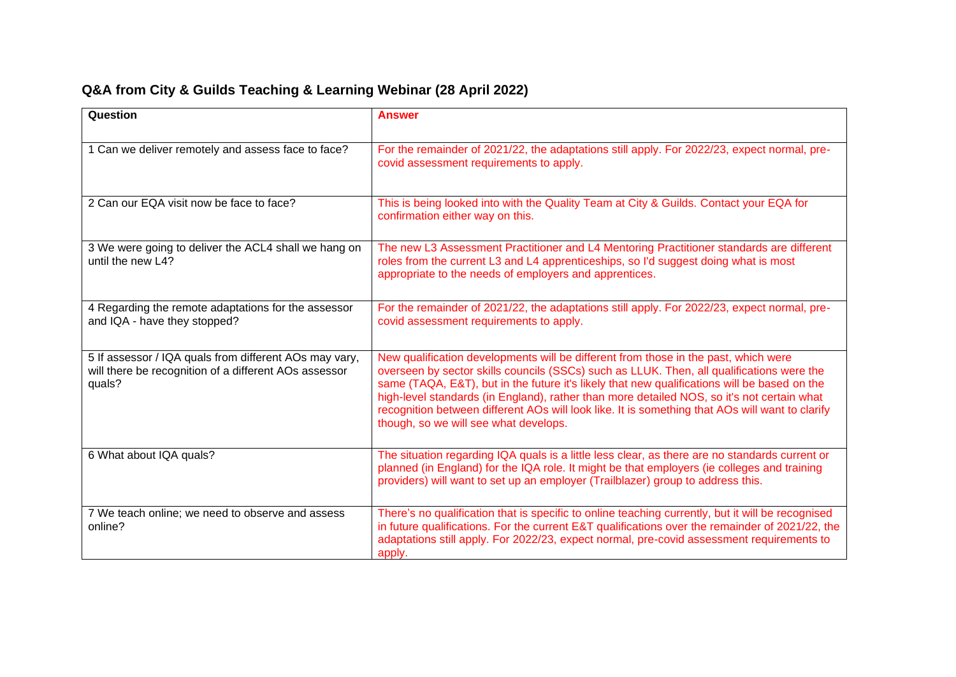## **Q&A from City & Guilds Teaching & Learning Webinar (28 April 2022)**

| Question                                                                                                                  | <b>Answer</b>                                                                                                                                                                                                                                                                                                                                                                                                                                                                                                              |
|---------------------------------------------------------------------------------------------------------------------------|----------------------------------------------------------------------------------------------------------------------------------------------------------------------------------------------------------------------------------------------------------------------------------------------------------------------------------------------------------------------------------------------------------------------------------------------------------------------------------------------------------------------------|
| 1 Can we deliver remotely and assess face to face?                                                                        | For the remainder of 2021/22, the adaptations still apply. For 2022/23, expect normal, pre-<br>covid assessment requirements to apply.                                                                                                                                                                                                                                                                                                                                                                                     |
| 2 Can our EQA visit now be face to face?                                                                                  | This is being looked into with the Quality Team at City & Guilds. Contact your EQA for<br>confirmation either way on this.                                                                                                                                                                                                                                                                                                                                                                                                 |
| 3 We were going to deliver the ACL4 shall we hang on<br>until the new L4?                                                 | The new L3 Assessment Practitioner and L4 Mentoring Practitioner standards are different<br>roles from the current L3 and L4 apprenticeships, so I'd suggest doing what is most<br>appropriate to the needs of employers and apprentices.                                                                                                                                                                                                                                                                                  |
| 4 Regarding the remote adaptations for the assessor<br>and IQA - have they stopped?                                       | For the remainder of 2021/22, the adaptations still apply. For 2022/23, expect normal, pre-<br>covid assessment requirements to apply.                                                                                                                                                                                                                                                                                                                                                                                     |
| 5 If assessor / IQA quals from different AOs may vary,<br>will there be recognition of a different AOs assessor<br>quals? | New qualification developments will be different from those in the past, which were<br>overseen by sector skills councils (SSCs) such as LLUK. Then, all qualifications were the<br>same (TAQA, E&T), but in the future it's likely that new qualifications will be based on the<br>high-level standards (in England), rather than more detailed NOS, so it's not certain what<br>recognition between different AOs will look like. It is something that AOs will want to clarify<br>though, so we will see what develops. |
| 6 What about IQA quals?                                                                                                   | The situation regarding IQA quals is a little less clear, as there are no standards current or<br>planned (in England) for the IQA role. It might be that employers (ie colleges and training<br>providers) will want to set up an employer (Trailblazer) group to address this.                                                                                                                                                                                                                                           |
| 7 We teach online; we need to observe and assess<br>online?                                                               | There's no qualification that is specific to online teaching currently, but it will be recognised<br>in future qualifications. For the current E&T qualifications over the remainder of 2021/22, the<br>adaptations still apply. For 2022/23, expect normal, pre-covid assessment requirements to<br>apply.                                                                                                                                                                                                                |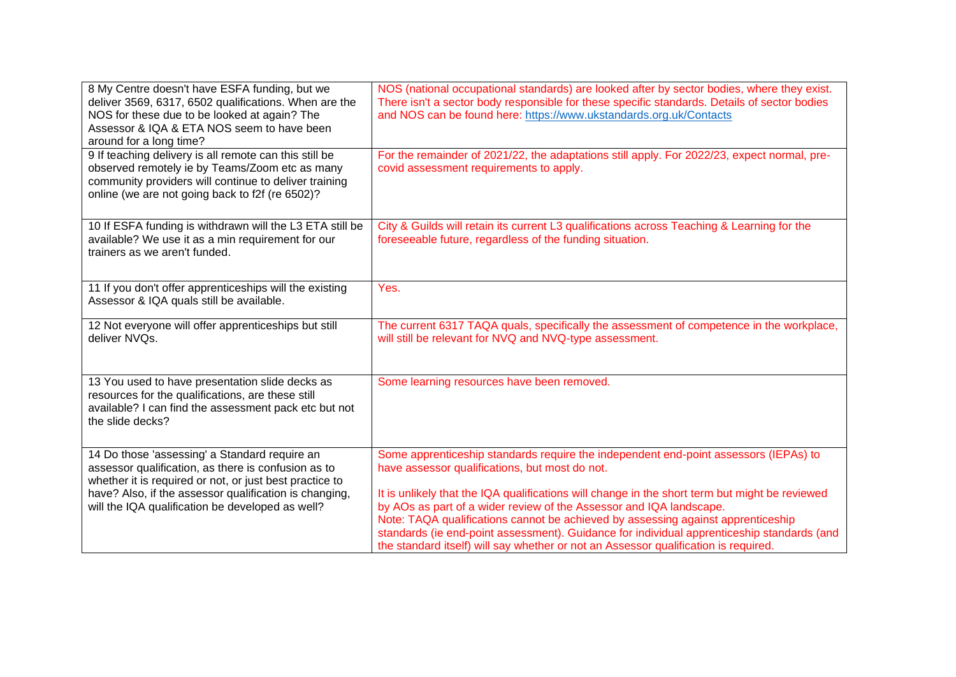| 8 My Centre doesn't have ESFA funding, but we<br>deliver 3569, 6317, 6502 qualifications. When are the<br>NOS for these due to be looked at again? The<br>Assessor & IQA & ETA NOS seem to have been<br>around for a long time? | NOS (national occupational standards) are looked after by sector bodies, where they exist.<br>There isn't a sector body responsible for these specific standards. Details of sector bodies<br>and NOS can be found here: https://www.ukstandards.org.uk/Contacts                                                                                                                                                                               |
|---------------------------------------------------------------------------------------------------------------------------------------------------------------------------------------------------------------------------------|------------------------------------------------------------------------------------------------------------------------------------------------------------------------------------------------------------------------------------------------------------------------------------------------------------------------------------------------------------------------------------------------------------------------------------------------|
| 9 If teaching delivery is all remote can this still be<br>observed remotely ie by Teams/Zoom etc as many<br>community providers will continue to deliver training<br>online (we are not going back to f2f (re 6502)?            | For the remainder of 2021/22, the adaptations still apply. For 2022/23, expect normal, pre-<br>covid assessment requirements to apply.                                                                                                                                                                                                                                                                                                         |
| 10 If ESFA funding is withdrawn will the L3 ETA still be<br>available? We use it as a min requirement for our<br>trainers as we aren't funded.                                                                                  | City & Guilds will retain its current L3 qualifications across Teaching & Learning for the<br>foreseeable future, regardless of the funding situation.                                                                                                                                                                                                                                                                                         |
| 11 If you don't offer apprenticeships will the existing<br>Assessor & IQA quals still be available.                                                                                                                             | Yes.                                                                                                                                                                                                                                                                                                                                                                                                                                           |
| 12 Not everyone will offer apprenticeships but still<br>deliver NVQs.                                                                                                                                                           | The current 6317 TAQA quals, specifically the assessment of competence in the workplace,<br>will still be relevant for NVQ and NVQ-type assessment.                                                                                                                                                                                                                                                                                            |
| 13 You used to have presentation slide decks as<br>resources for the qualifications, are these still<br>available? I can find the assessment pack etc but not<br>the slide decks?                                               | Some learning resources have been removed.                                                                                                                                                                                                                                                                                                                                                                                                     |
| 14 Do those 'assessing' a Standard require an<br>assessor qualification, as there is confusion as to<br>whether it is required or not, or just best practice to                                                                 | Some apprenticeship standards require the independent end-point assessors (IEPAs) to<br>have assessor qualifications, but most do not.                                                                                                                                                                                                                                                                                                         |
| have? Also, if the assessor qualification is changing,<br>will the IQA qualification be developed as well?                                                                                                                      | It is unlikely that the IQA qualifications will change in the short term but might be reviewed<br>by AOs as part of a wider review of the Assessor and IQA landscape.<br>Note: TAQA qualifications cannot be achieved by assessing against apprenticeship<br>standards (ie end-point assessment). Guidance for individual apprenticeship standards (and<br>the standard itself) will say whether or not an Assessor qualification is required. |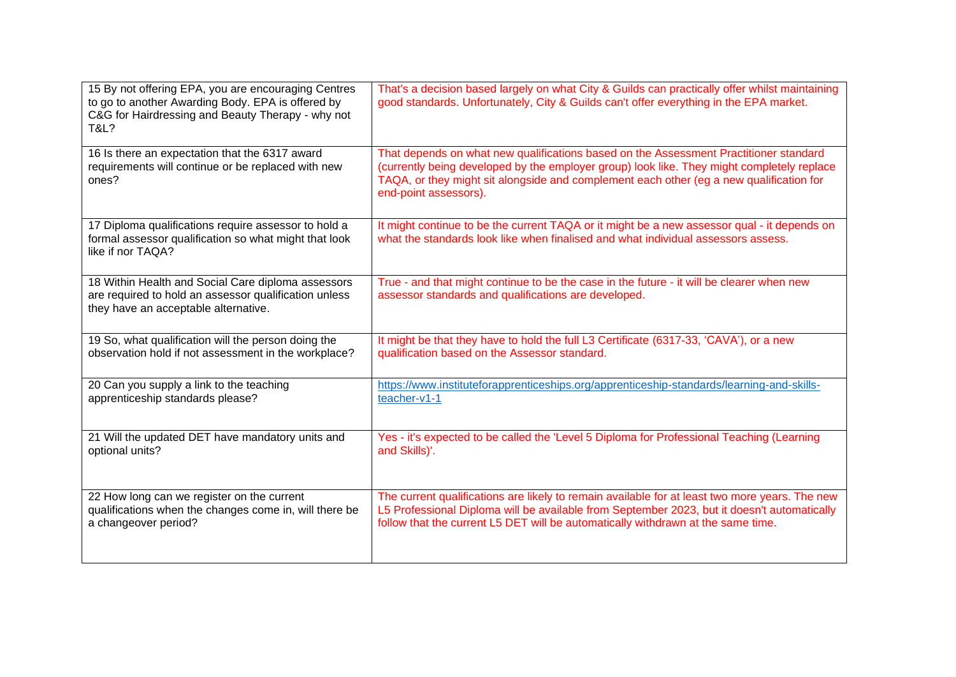| 15 By not offering EPA, you are encouraging Centres<br>to go to another Awarding Body. EPA is offered by<br>C&G for Hairdressing and Beauty Therapy - why not<br>T&L? | That's a decision based largely on what City & Guilds can practically offer whilst maintaining<br>good standards. Unfortunately, City & Guilds can't offer everything in the EPA market.                                                                                                                |
|-----------------------------------------------------------------------------------------------------------------------------------------------------------------------|---------------------------------------------------------------------------------------------------------------------------------------------------------------------------------------------------------------------------------------------------------------------------------------------------------|
| 16 Is there an expectation that the 6317 award<br>requirements will continue or be replaced with new<br>ones?                                                         | That depends on what new qualifications based on the Assessment Practitioner standard<br>(currently being developed by the employer group) look like. They might completely replace<br>TAQA, or they might sit alongside and complement each other (eg a new qualification for<br>end-point assessors). |
| 17 Diploma qualifications require assessor to hold a<br>formal assessor qualification so what might that look<br>like if nor TAQA?                                    | It might continue to be the current TAQA or it might be a new assessor qual - it depends on<br>what the standards look like when finalised and what individual assessors assess.                                                                                                                        |
| 18 Within Health and Social Care diploma assessors<br>are required to hold an assessor qualification unless<br>they have an acceptable alternative.                   | True - and that might continue to be the case in the future - it will be clearer when new<br>assessor standards and qualifications are developed.                                                                                                                                                       |
| 19 So, what qualification will the person doing the                                                                                                                   | It might be that they have to hold the full L3 Certificate (6317-33, 'CAVA'), or a new                                                                                                                                                                                                                  |
| observation hold if not assessment in the workplace?                                                                                                                  | qualification based on the Assessor standard.                                                                                                                                                                                                                                                           |
| 20 Can you supply a link to the teaching                                                                                                                              | https://www.instituteforapprenticeships.org/apprenticeship-standards/learning-and-skills-                                                                                                                                                                                                               |
| apprenticeship standards please?                                                                                                                                      | teacher-v1-1                                                                                                                                                                                                                                                                                            |
| 21 Will the updated DET have mandatory units and                                                                                                                      | Yes - it's expected to be called the 'Level 5 Diploma for Professional Teaching (Learning                                                                                                                                                                                                               |
| optional units?                                                                                                                                                       | and Skills)'.                                                                                                                                                                                                                                                                                           |
| 22 How long can we register on the current                                                                                                                            | The current qualifications are likely to remain available for at least two more years. The new                                                                                                                                                                                                          |
| qualifications when the changes come in, will there be                                                                                                                | L5 Professional Diploma will be available from September 2023, but it doesn't automatically                                                                                                                                                                                                             |
| a changeover period?                                                                                                                                                  | follow that the current L5 DET will be automatically withdrawn at the same time.                                                                                                                                                                                                                        |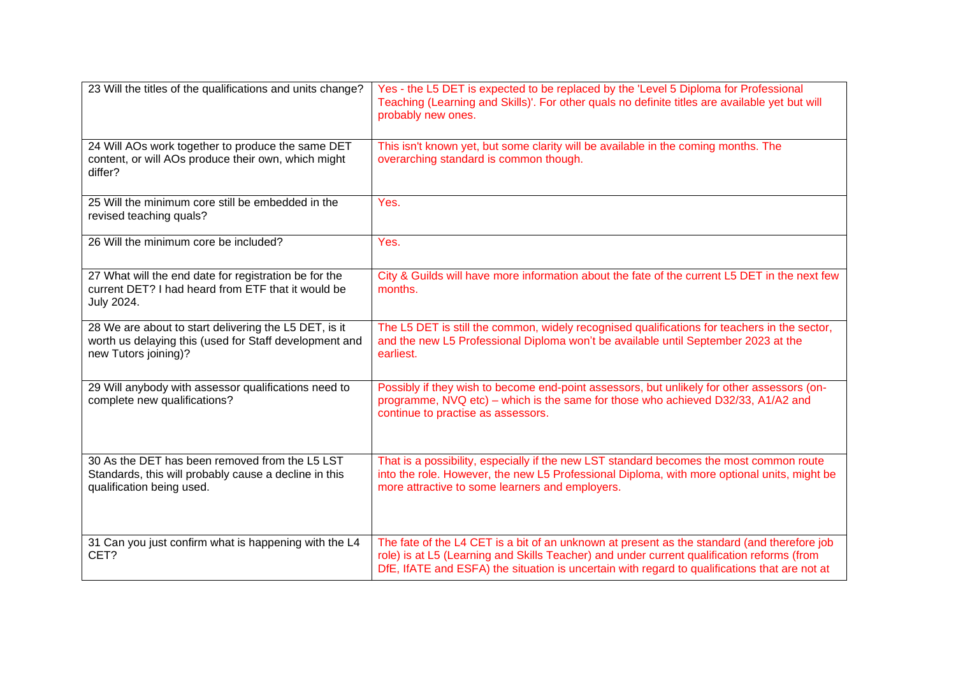| 23 Will the titles of the qualifications and units change?                                                                              | Yes - the L5 DET is expected to be replaced by the 'Level 5 Diploma for Professional<br>Teaching (Learning and Skills)'. For other quals no definite titles are available yet but will<br>probably new ones.                                                                               |
|-----------------------------------------------------------------------------------------------------------------------------------------|--------------------------------------------------------------------------------------------------------------------------------------------------------------------------------------------------------------------------------------------------------------------------------------------|
| 24 Will AOs work together to produce the same DET<br>content, or will AOs produce their own, which might<br>differ?                     | This isn't known yet, but some clarity will be available in the coming months. The<br>overarching standard is common though.                                                                                                                                                               |
| 25 Will the minimum core still be embedded in the<br>revised teaching quals?                                                            | Yes.                                                                                                                                                                                                                                                                                       |
| 26 Will the minimum core be included?                                                                                                   | Yes.                                                                                                                                                                                                                                                                                       |
| 27 What will the end date for registration be for the<br>current DET? I had heard from ETF that it would be<br>July 2024.               | City & Guilds will have more information about the fate of the current L5 DET in the next few<br>months.                                                                                                                                                                                   |
| 28 We are about to start delivering the L5 DET, is it<br>worth us delaying this (used for Staff development and<br>new Tutors joining)? | The L5 DET is still the common, widely recognised qualifications for teachers in the sector,<br>and the new L5 Professional Diploma won't be available until September 2023 at the<br>earliest.                                                                                            |
| 29 Will anybody with assessor qualifications need to<br>complete new qualifications?                                                    | Possibly if they wish to become end-point assessors, but unlikely for other assessors (on-<br>programme, NVQ etc) – which is the same for those who achieved D32/33, A1/A2 and<br>continue to practise as assessors.                                                                       |
| 30 As the DET has been removed from the L5 LST<br>Standards, this will probably cause a decline in this<br>qualification being used.    | That is a possibility, especially if the new LST standard becomes the most common route<br>into the role. However, the new L5 Professional Diploma, with more optional units, might be<br>more attractive to some learners and employers.                                                  |
| 31 Can you just confirm what is happening with the L4<br>CET?                                                                           | The fate of the L4 CET is a bit of an unknown at present as the standard (and therefore job<br>role) is at L5 (Learning and Skills Teacher) and under current qualification reforms (from<br>DfE, IfATE and ESFA) the situation is uncertain with regard to qualifications that are not at |